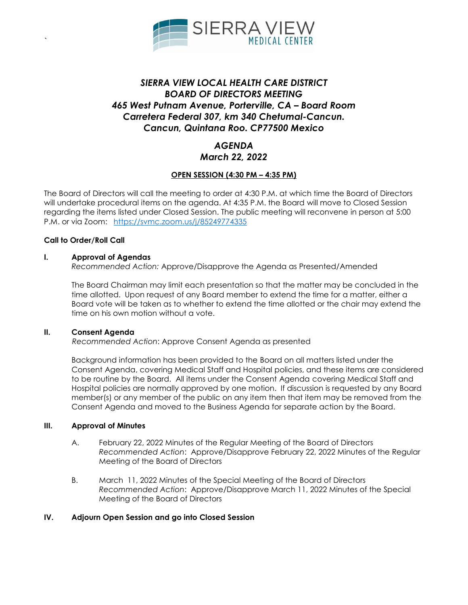

# *SIERRA VIEW LOCAL HEALTH CARE DISTRICT BOARD OF DIRECTORS MEETING 465 West Putnam Avenue, Porterville, CA – Board Room Carretera Federal 307, km 340 Chetumal-Cancun. Cancun, Quintana Roo. CP77500 Mexico*

## *AGENDA March 22, 2022*

### **OPEN SESSION (4:30 PM – 4:35 PM)**

The Board of Directors will call the meeting to order at 4:30 P.M. at which time the Board of Directors will undertake procedural items on the agenda. At 4:35 P.M. the Board will move to Closed Session regarding the items listed under Closed Session. The public meeting will reconvene in person at 5:00 P.M. or via Zoom: <https://svmc.zoom.us/j/85249774335>

#### **Call to Order/Roll Call**

*`*

#### **I. Approval of Agendas**

*Recommended Action:* Approve/Disapprove the Agenda as Presented/Amended

The Board Chairman may limit each presentation so that the matter may be concluded in the time allotted. Upon request of any Board member to extend the time for a matter, either a Board vote will be taken as to whether to extend the time allotted or the chair may extend the time on his own motion without a vote.

#### **II. Consent Agenda**

*Recommended Action*: Approve Consent Agenda as presented

Background information has been provided to the Board on all matters listed under the Consent Agenda, covering Medical Staff and Hospital policies, and these items are considered to be routine by the Board. All items under the Consent Agenda covering Medical Staff and Hospital policies are normally approved by one motion. If discussion is requested by any Board member(s) or any member of the public on any item then that item may be removed from the Consent Agenda and moved to the Business Agenda for separate action by the Board.

#### **III. Approval of Minutes**

- A. February 22, 2022 Minutes of the Regular Meeting of the Board of Directors *Recommended Action*: Approve/Disapprove February 22, 2022 Minutes of the Regular Meeting of the Board of Directors
- B. March 11, 2022 Minutes of the Special Meeting of the Board of Directors *Recommended Action*: Approve/Disapprove March 11, 2022 Minutes of the Special Meeting of the Board of Directors

#### **IV. Adjourn Open Session and go into Closed Session**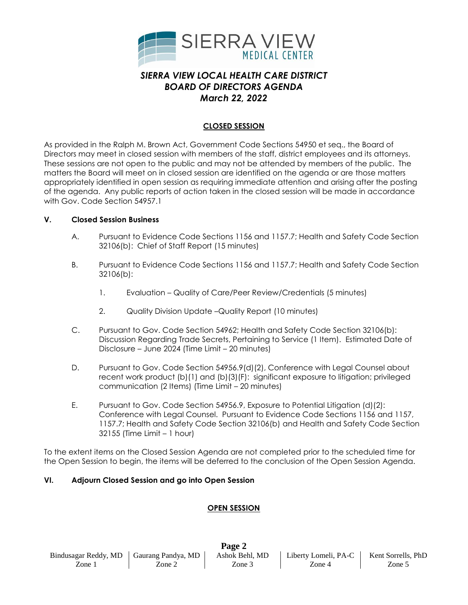

# *SIERRA VIEW LOCAL HEALTH CARE DISTRICT BOARD OF DIRECTORS AGENDA March 22, 2022*

### **CLOSED SESSION**

As provided in the Ralph M. Brown Act, Government Code Sections 54950 et seq., the Board of Directors may meet in closed session with members of the staff, district employees and its attorneys. These sessions are not open to the public and may not be attended by members of the public. The matters the Board will meet on in closed session are identified on the agenda or are those matters appropriately identified in open session as requiring immediate attention and arising after the posting of the agenda. Any public reports of action taken in the closed session will be made in accordance with Gov. Code Section 54957.1

#### **V. Closed Session Business**

- A. Pursuant to Evidence Code Sections 1156 and 1157.7; Health and Safety Code Section 32106(b): Chief of Staff Report (15 minutes)
- B. Pursuant to Evidence Code Sections 1156 and 1157.7; Health and Safety Code Section 32106(b):
	- 1. Evaluation Quality of Care/Peer Review/Credentials (5 minutes)
	- 2. Quality Division Update –Quality Report (10 minutes)
- C. Pursuant to Gov. Code Section 54962; Health and Safety Code Section 32106(b): Discussion Regarding Trade Secrets, Pertaining to Service (1 Item). Estimated Date of Disclosure – June 2024 (Time Limit – 20 minutes)
- D. Pursuant to Gov. Code Section 54956.9(d)(2), Conference with Legal Counsel about recent work product (b)(1) and (b)(3)(F): significant exposure to litigation; privileged communication (2 Items) (Time Limit – 20 minutes)
- E. Pursuant to Gov. Code Section 54956.9, Exposure to Potential Litigation (d)(2): Conference with Legal Counsel. Pursuant to Evidence Code Sections 1156 and 1157, 1157.7; Health and Safety Code Section 32106(b) and Health and Safety Code Section 32155 (Time Limit – 1 hour)

To the extent items on the Closed Session Agenda are not completed prior to the scheduled time for the Open Session to begin, the items will be deferred to the conclusion of the Open Session Agenda.

#### **VI. Adjourn Closed Session and go into Open Session**

#### **OPEN SESSION**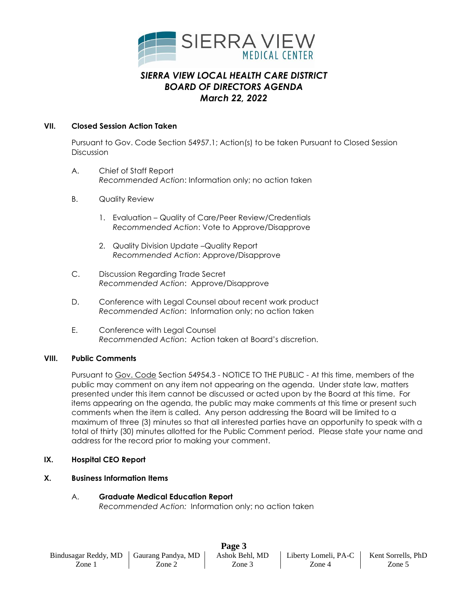

# *SIERRA VIEW LOCAL HEALTH CARE DISTRICT BOARD OF DIRECTORS AGENDA March 22, 2022*

### **VII. Closed Session Action Taken**

Pursuant to Gov. Code Section 54957.1; Action(s) to be taken Pursuant to Closed Session Discussion

- A. Chief of Staff Report *Recommended Action*: Information only; no action taken
- B. Quality Review
	- 1. Evaluation Quality of Care/Peer Review/Credentials *Recommended Action*: Vote to Approve/Disapprove
	- 2. Quality Division Update –Quality Report *Recommended Action*: Approve/Disapprove
- C. Discussion Regarding Trade Secret *Recommended Action*: Approve/Disapprove
- D. Conference with Legal Counsel about recent work product *Recommended Action*: Information only; no action taken
- E. Conference with Legal Counsel *Recommended Action*: Action taken at Board's discretion.

## **VIII. Public Comments**

Pursuant to Gov. Code Section 54954.3 - NOTICE TO THE PUBLIC - At this time, members of the public may comment on any item not appearing on the agenda. Under state law, matters presented under this item cannot be discussed or acted upon by the Board at this time. For items appearing on the agenda, the public may make comments at this time or present such comments when the item is called. Any person addressing the Board will be limited to a maximum of three (3) minutes so that all interested parties have an opportunity to speak with a total of thirty (30) minutes allotted for the Public Comment period. Please state your name and address for the record prior to making your comment.

#### **IX. Hospital CEO Report**

#### **X. Business Information Items**

## A. **Graduate Medical Education Report**

*Recommended Action:* Information only; no action taken

| Page 3                                    |        |                |                      |                    |
|-------------------------------------------|--------|----------------|----------------------|--------------------|
| Bindusagar Reddy, MD   Gaurang Pandya, MD |        | Ashok Behl, MD | Liberty Lomeli, PA-C | Kent Sorrells, PhD |
| Zone 1                                    | Zone 2 | Zone 3         | Zone 4               | Zone 5             |